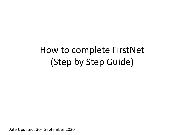# How to complete FirstNet (Step by Step Guide)

Date Updated: 30<sup>th</sup> September 2020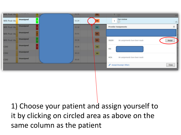

1) Choose your patient and assign yourself to it by clicking on circled area as above on the same column as the patient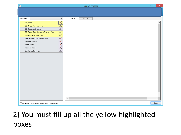

# 2) You must fill up all the yellow highlighted boxes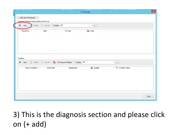| Mark all as Reviewed<br>Diagnosis (Problem) being Addressed this Visit<br>Display: All<br>Modify $\quad \stackrel{\ast - \ }{\rightarrow} \;$ Convert<br>4<br>Add<br>$\vee$ $\Box$<br>Ð<br>Clinical Dx<br>Dx Type<br><b>U</b> Code<br>Date<br>Problems:<br>Add 1 Modify = Convert 8 No Chronic Problems<br>Display: All<br>$\ddot{\phantom{1}}$<br>$\vee$ $\parallel$<br>** Condition Name<br>Name of Problem ▲<br>$0$ Qualifier<br>Onset Date<br>Classification | $\mathsf{x}$ |
|------------------------------------------------------------------------------------------------------------------------------------------------------------------------------------------------------------------------------------------------------------------------------------------------------------------------------------------------------------------------------------------------------------------------------------------------------------------|--------------|
|                                                                                                                                                                                                                                                                                                                                                                                                                                                                  |              |
|                                                                                                                                                                                                                                                                                                                                                                                                                                                                  |              |
|                                                                                                                                                                                                                                                                                                                                                                                                                                                                  |              |
|                                                                                                                                                                                                                                                                                                                                                                                                                                                                  |              |
|                                                                                                                                                                                                                                                                                                                                                                                                                                                                  |              |
|                                                                                                                                                                                                                                                                                                                                                                                                                                                                  |              |
|                                                                                                                                                                                                                                                                                                                                                                                                                                                                  |              |
|                                                                                                                                                                                                                                                                                                                                                                                                                                                                  |              |
|                                                                                                                                                                                                                                                                                                                                                                                                                                                                  |              |
|                                                                                                                                                                                                                                                                                                                                                                                                                                                                  |              |
|                                                                                                                                                                                                                                                                                                                                                                                                                                                                  |              |
|                                                                                                                                                                                                                                                                                                                                                                                                                                                                  |              |
|                                                                                                                                                                                                                                                                                                                                                                                                                                                                  |              |
|                                                                                                                                                                                                                                                                                                                                                                                                                                                                  |              |
|                                                                                                                                                                                                                                                                                                                                                                                                                                                                  |              |
|                                                                                                                                                                                                                                                                                                                                                                                                                                                                  |              |
|                                                                                                                                                                                                                                                                                                                                                                                                                                                                  |              |
|                                                                                                                                                                                                                                                                                                                                                                                                                                                                  |              |
|                                                                                                                                                                                                                                                                                                                                                                                                                                                                  |              |
|                                                                                                                                                                                                                                                                                                                                                                                                                                                                  |              |
|                                                                                                                                                                                                                                                                                                                                                                                                                                                                  |              |
| Close                                                                                                                                                                                                                                                                                                                                                                                                                                                            |              |

# 3) This is the diagnosis section and please click on (+ add)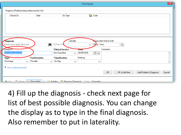| ×<br>Discharge                                                                      |                           |                                                                                                                                                                                                            |                   |
|-------------------------------------------------------------------------------------|---------------------------|------------------------------------------------------------------------------------------------------------------------------------------------------------------------------------------------------------|-------------------|
| Diagnosis (Problem) being Addressed this Visit                                      |                           |                                                                                                                                                                                                            |                   |
| <b>Clinical Dx</b>                                                                  | Date                      | <b>U</b> Code<br>Dx Type                                                                                                                                                                                   |                   |
| <b>Diagnosis</b><br>Primary open angle glaucoma<br>Display As<br>Secondary glaucoma |                           | Laterality<br><b>Responsible Clinical Staff</b><br>đâ.<br>Ching, Soon<br>$\Box$ Free Tex<br>Q<br>◡<br>Comments<br>*Clinical Service<br><b>Light</b><br>¦≑∣∽<br>Non-Specified<br>30/09/2020<br>$\checkmark$ | Ä                 |
| *Type<br>Discharge<br>$\mathbf{v}$<br>Show Additional Details                       | *Confirmation<br>Possible | Ranking<br>*Classification<br>No flag<br>$\vee$<br>v<br>v                                                                                                                                                  | $\lambda_{\rm p}$ |
| <b>All</b>                                                                          |                           | Add Problem & Diagnosis<br>0K<br>OK & Add New<br>Cancel<br>A Home C Favourites <b>T Folders Previous Diannosis</b> Enlder Favourites                                                                       |                   |

4) Fill up the diagnosis - check next page for list of best possible diagnosis. You can change the display as to type in the final diagnosis. Also remember to put in laterality.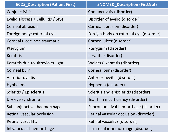| <b>ECDS_Description (Patient First)</b> | <b>SNOMED_Description (FirstNet)</b>    |
|-----------------------------------------|-----------------------------------------|
| Conjunctivitis                          | Conjunctivitis (disorder)               |
| Eyelid abscess / Cellulitis / Stye      | Disorder of eyelid (disorder)           |
| <b>Corneal abrasion</b>                 | Corneal abrasion (disorder)             |
| Foreign body: external eye              | Foreign body on external eye (disorder) |
| Corneal ulcer: non traumatic            | Corneal ulcer (disorder)                |
| Pterygium                               | Pterygium (disorder)                    |
| <b>Keratitis</b>                        | Keratitis (disorder)                    |
| Keratitis due to ultraviolet light      | Welders' keratitis (disorder)           |
| <b>Corneal burn</b>                     | Corneal burn (disorder)                 |
| <b>Anterior uveitis</b>                 | Anterior uveitis (disorder)             |
| Hyphaema                                | Hyphema (disorder)                      |
| Scleritis / Episcleritis                | Scleritis and episcleritis (disorder)   |
| Dry eye syndrome                        | Tear film insufficiency (disorder)      |
| Subconjunctival haemorrhage             | Subconjunctival hemorrhage (disorder)   |
| Retinal vascular occlusion              | Retinal vascular occlusion (disorder)   |
| <b>Retinal vasculitis</b>               | Retinal vasculitis (disorder)           |
| Intra-ocular haemorrhage                | Intra-ocular hemorrhage (disorder)      |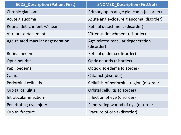| <b>ECDS</b> Description (Patient First) | <b>SNOMED_Description (FirstNet)</b>           |
|-----------------------------------------|------------------------------------------------|
| Chronic glaucoma                        | Primary open angle glaucoma (disorder)         |
| Acute glaucoma                          | Acute angle-closure glaucoma (disorder)        |
| Retinal detachment +/- tear             | Retinal detachment (disorder)                  |
| Vitreous detachment                     | Vitreous detachment (disorder)                 |
| Age-related macular degeneration        | Age-related macular degeneration<br>(disorder) |
| Retinal oedema                          | Retinal oedema (disorder)                      |
| Optic neuritis                          | Optic neuritis (disorder)                      |
| Papilloedema                            | Optic disc edema (disorder)                    |
| Cataract                                | Cataract (disorder)                            |
| <b>Periorbital cellulitis</b>           | Cellulitis of periorbital region (disorder)    |
| <b>Orbital cellulitis</b>               | Orbital cellulitis (disorder)                  |
| Intraocular infection                   | Infection of eye (disorder)                    |
| Penetrating eye injury                  | Penetrating wound of eye (disorder)            |
| Orbital fracture                        | Fracture of orbit (disorder)                   |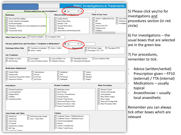|                                                                                                                                                                                                        |                                                                                                                                                                                                                                                               |                                                                                                                                                                                                                          | <b>BMEC Investigations &amp; Treatments</b>                                                                                                                                                    |  |
|--------------------------------------------------------------------------------------------------------------------------------------------------------------------------------------------------------|---------------------------------------------------------------------------------------------------------------------------------------------------------------------------------------------------------------------------------------------------------------|--------------------------------------------------------------------------------------------------------------------------------------------------------------------------------------------------------------------------|------------------------------------------------------------------------------------------------------------------------------------------------------------------------------------------------|--|
| Did your patient have any Investigations?<br>l ®Yes<br>$\bigcirc$ No.                                                                                                                                  |                                                                                                                                                                                                                                                               |                                                                                                                                                                                                                          |                                                                                                                                                                                                |  |
| <b>Ophthalmic</b>                                                                                                                                                                                      |                                                                                                                                                                                                                                                               | Oberservations and Monitori                                                                                                                                                                                              | 5<br><b>Point of Care Tests</b><br>Ш                                                                                                                                                           |  |
| Intra-ocular fluid sampling<br>□ Ocular coherence tomography<br>$\Box$ Ocular photography<br>Refraction, orthoptic tests and computerised visual fields<br>$\Box$ Tonometry<br>□ Visual acuity testing |                                                                                                                                                                                                                                                               | Cardiac Monitor<br>Neuro Observations<br>П<br>Oximetry / Sats<br>П<br>□ Vascular Observations<br>Vital Signs<br>□ Observations and Monitoring Other                                                                      | Arterial / Capillary Blood Gas<br>□ Venous Blo<br>П<br>Dementia s<br>-BM<br>П<br>Ketones<br>$\Box$ Investigatio<br>П<br>□ Point of Care USS<br>$\Box$ Pregnancy test<br>$\Box$ Urinalysis<br>≺ |  |
| Other Point of Care Tests                                                                                                                                                                              | Dental investigation   Investigation Other                                                                                                                                                                                                                    |                                                                                                                                                                                                                          | 6                                                                                                                                                                                              |  |
| Discharge Advice Only                                                                                                                                                                                  | Did your patient have any Procedures / Treatments or Medications?<br>tnes Yes<br>О №<br>□ Treatment not indicated □ Advice - Written<br><b>Prescriptions</b><br>ED Pre Pack Supply<br>Prescription FP10<br><b>▽</b> Advice - Verbal<br>Prescription TTA / TTO |                                                                                                                                                                                                                          |                                                                                                                                                                                                |  |
| Eye Treatments                                                                                                                                                                                         |                                                                                                                                                                                                                                                               |                                                                                                                                                                                                                          |                                                                                                                                                                                                |  |
| Epilation of Lashes<br>$\Box$ Eye Dressing                                                                                                                                                             | $\Box$ Eye Irrigation<br>□ Laser of Posterior Capsule □ Orthoptic Exercises                                                                                                                                                                                   | □ Laser of Retina / Iris<br>$\Box$ Retrobulbar Injection<br>Subconjunctival Injection                                                                                                                                    | $\Box$ Eye Treatments Other<br>r                                                                                                                                                               |  |
| <b>Medications Administered</b>                                                                                                                                                                        |                                                                                                                                                                                                                                                               |                                                                                                                                                                                                                          |                                                                                                                                                                                                |  |
| □ Infusion Fluids<br>Intramuscular<br>□ Intravenous Drugs (Stat / Bolus) □ Ear Drops<br>$\Box$ Intravenous Infusion                                                                                    | □ Subcutaneous<br>$\Box$ Buccal<br>$\Box$ Eye Drops                                                                                                                                                                                                           | $\Box$ Intradermal<br>$\Box$ Oral<br>$\Box$ Per Rectum<br>$\Box$ Sublingulal                                                                                                                                             | $\Box$ Topical<br>$\Box$ Entonox<br>$\Box$ Nebuliser<br>$\Box$ Oxygen                                                                                                                          |  |
| Anaesthesia                                                                                                                                                                                            |                                                                                                                                                                                                                                                               | <b>Review Treatments</b>                                                                                                                                                                                                 | <b>Minor Procedures</b>                                                                                                                                                                        |  |
| General Anaesthesia<br>Local Anaesthetic<br>□ Regional Block<br>Sedation<br>Anaesthesia Other                                                                                                          |                                                                                                                                                                                                                                                               | Medication review<br><b>Burns Review</b><br>□<br>□ Dressing / Wound Review<br>□ Fracture Review<br>□ Recall / X-Ray Review<br>□ Removal of Plaster of Paris<br>□ Removal of Sutures / Clips<br>□ Review Treatments Other | □ Epistaxis Control<br>$\Box$ Incision and Drainage<br>□ Joint Aspiration<br>Minor Plastic Surgery<br>□ Minor Surgery<br>□ Removal of Foreign Body<br>□ Minor Procedures Other<br>F            |  |
| <b>Lines Drains and Tubes</b>                                                                                                                                                                          |                                                                                                                                                                                                                                                               | Tetanus                                                                                                                                                                                                                  | t                                                                                                                                                                                              |  |
| Arterial Line<br>$\Box$ Central Line<br><b>Chest Drain</b><br>$\Box$ IV Cannula<br>Intraosseous cannula<br>NG Tube<br><b>ITI</b> Suntanubic Cathoter                                                   | Gastrostomy tube change<br>□ Lines / Tubes Other                                                                                                                                                                                                              | Combined Tetanus / Diphtheria Booster<br>П<br>Combined Tetanus / Diphtheria Course<br>Human Immunoglobulin<br>$\Box$ Immune<br>□ Tetanus Toxoid Booster<br>□ Tetanus Toxoid Course                                       | r                                                                                                                                                                                              |  |

5) Please click yes/no for nvestigations and procedures section (in red circle)

6) For investigations – the usual boxes that are selected are in the green box

7) For procedures, emember to tick:

- Advice (written/verbal)
- Prescription given FP10 (external) / TTA (internal)
- $Medications usually$ topical
- Anaesthesiae usually local anaesthetic

Remember you can always ick other boxes which are elevant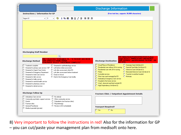|                                                                                                                                                                                                                                                                                                                                                              |                                                                                                                                                                                                                                                              | <b>Discharge Information</b>                                                                                                                                                                                                                                                                                                                                                                                       |
|--------------------------------------------------------------------------------------------------------------------------------------------------------------------------------------------------------------------------------------------------------------------------------------------------------------------------------------------------------------|--------------------------------------------------------------------------------------------------------------------------------------------------------------------------------------------------------------------------------------------------------------|--------------------------------------------------------------------------------------------------------------------------------------------------------------------------------------------------------------------------------------------------------------------------------------------------------------------------------------------------------------------------------------------------------------------|
| <b>Instructions / Information for GP</b>                                                                                                                                                                                                                                                                                                                     |                                                                                                                                                                                                                                                              | (Free text box, supports 30,000 characters)                                                                                                                                                                                                                                                                                                                                                                        |
| Segoe UI<br>$\vee$   9                                                                                                                                                                                                                                                                                                                                       | * h @ B U / S 三三三<br>Ð<br>v                                                                                                                                                                                                                                  |                                                                                                                                                                                                                                                                                                                                                                                                                    |
| <b>Discharging Staff Member</b><br><b>Discharge Method</b><br><b>SENT</b><br>$\bigcirc$ Treatment complete                                                                                                                                                                                                                                                   | ONLY SELECTED "STREAMED TO" IF PATIENT HAS BEEN<br><b>DIRECTLY FROM TRIAGE</b><br>OTHERWISE SELECT "TREATMENT COMPLETE"<br>◯ Streamed to ophthalmology service<br>$\bigcirc$ Streamed to primary care service / GP $\bigcirc$ Left before initial assessment | FOR AMAA/SEAU/EGAU/EPAU/SCAT/Labour<br><b>Triage SELECT "AMBULATORY EMERGENCY</b><br>CARE SERVICE" and DISCHARGE PATIENT - DO.<br><b>Discharge Destination</b><br>NOT DTA<br>O Usual Place of Residence<br>O Coronary Care Unit (level 2)<br>$\bigcirc$ Residential care without 24 hr nursing $\bigcirc$ Special Care Baby Unit (level 2)                                                                         |
|                                                                                                                                                                                                                                                                                                                                                              | $\bigcap$ Left after assessment other ED<br>○ Left after assessment before treatment<br>O Dead on Arrival<br>◯ Died in the Emergency Care facility                                                                                                           | ◯ Residential care with 24 hr nursing<br>O Intensive Care Unit (level 3)<br>$\bigcap$ Police<br>O Neonatal Intensive Care Unit (level 3)<br>O Custodial services<br>O Transfer to another hospital<br>O Short stay ward managed by ED<br>O Mortuary<br>O Ambulatory Emergency Care service<br>$\bigcirc$ Hospital in the home service<br>O Ward - physical ward bed outside ED<br>O High Dependency Unit (level 2) |
| ◯ Streamed to Urgent Care Centre<br>◯ Streamed to Emergency Department<br>◯ Streamed to Amb Care service<br>$\bigcirc$ Streamed to falls service<br>$\bigcirc$ Streamed to frailty service<br>$\bigcirc$ Streamed to mental health service<br>$\bigcirc$ Streamed to pharmacy service<br>$\bigcirc$ Streamed to dental service<br><b>Discharge Follow Up</b> |                                                                                                                                                                                                                                                              | Fracture Clinic / Outpatient Appointment Details                                                                                                                                                                                                                                                                                                                                                                   |
| O Ambulatory Care service<br>$\bigcirc$ Community psychiatric support services $\bigcirc$ Other community service<br>$\bigcirc$ Dentist<br>$\bigcap$ Fracture clinic<br>$\bigcap$ General Practitioner                                                                                                                                                       | $\bigcap$ No referral<br>O Outpatients (not fracture clinic)<br>O Physiotherapy<br>◯ Review in ED (scheduled)                                                                                                                                                | <b>Transport Required?</b>                                                                                                                                                                                                                                                                                                                                                                                         |

8) Very important to follow the instructions in red! Also for the information for GP – you can cut/paste your management plan from medisoft onto here.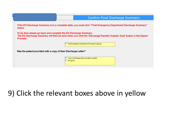|                                                                                                                                                                                                         | Confirm Final Discharge Summary                           |  |  |
|---------------------------------------------------------------------------------------------------------------------------------------------------------------------------------------------------------|-----------------------------------------------------------|--|--|
| If the ED Discharge Summary is in a complete state, you must click "Final Emergency Department Discharge Summary"<br>below.                                                                             |                                                           |  |  |
| If not, then please go back and complete the ED Discharge Summary.<br>The ED Discharge Summary will then be sent when you click the 'Discharge/Transfer Outside Trust' button in the Depart<br>Process. |                                                           |  |  |
|                                                                                                                                                                                                         | Final Emergency Department Discharge Summary              |  |  |
| Was the patient provided with a copy of their Discharge Letter?                                                                                                                                         |                                                           |  |  |
|                                                                                                                                                                                                         | Copy of discharge letter provided to patient<br>Not given |  |  |

### 9) Click the relevant boxes above in yellow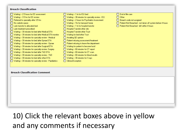#### **Breach Classification**

| <b>Breach Classification Comment</b>                                                                                                                                                                                                                                                                                                                                                                                                                                                                                                                                                                                                                                                                                                                                                                      |                                                                                                                                                                                                                                                                                                                                                                                                                                                                                                                                                                                                                                                         |                                                                                                                                               |  |  |
|-----------------------------------------------------------------------------------------------------------------------------------------------------------------------------------------------------------------------------------------------------------------------------------------------------------------------------------------------------------------------------------------------------------------------------------------------------------------------------------------------------------------------------------------------------------------------------------------------------------------------------------------------------------------------------------------------------------------------------------------------------------------------------------------------------------|---------------------------------------------------------------------------------------------------------------------------------------------------------------------------------------------------------------------------------------------------------------------------------------------------------------------------------------------------------------------------------------------------------------------------------------------------------------------------------------------------------------------------------------------------------------------------------------------------------------------------------------------------------|-----------------------------------------------------------------------------------------------------------------------------------------------|--|--|
| $\Box$ Referred to speciality after 3.5 hrs<br>$\Box$ No cubicle space<br>$\Box$ Late transfer to allocated bed<br>$\Box$ Late treatment prescribed<br>$\Box$ Waiting > 30 minutes for bed after Medical DTA<br>$\Box$ Waiting > 30 minutes for bed after Medical DTA-monitor<br>$\Box$ Waiting > 30 minutes for specialty review - Medical<br>Waiting > 30 minutes for bed after Gynae DTA<br>$\Box$ Waiting > 30 minutes for specialty review - Gynae<br>◯ Waiting > 30 minutes for bed after Surgical DTA<br>$\Box$ Waiting > 30 minutes for specialty review-Surgery<br>$\Box$ Waiting > 30 minutes for bed after T&O DTA<br>$\Box$ Waiting > 30 minutes for specialty review - T&O<br>Waiting > 30 minutes for bed after other DTA<br>$\Box$ Waiting > 30 minutes for specialty review - Paediatrics | $\Box$ Waiting > 2 hours for Psychiatric Assessment<br>$\Box$ Waiting > 1hr for transport home<br>$\Box$ Waiting > 1 hr for hospital transfer<br>$\Box$ Hospital Transfer-other site<br>$\Box$ Hospital Transfer-other Trust<br>$\Box$ Waiting for bed-other Trust<br>$\Box$ Awaiting QE opinion<br>□ Patient refusing assessment/treatment<br>$\Box$ Patient refusing to leave the department<br>□ Waiting for patient to become lucid<br>$\Box$ Waiting > 60 minutes for CT report<br>$\Box$ Waiting > 60 minutes for CT scan<br>$\Box$ Waiting > 60 minutes for blood results<br>$\Box$ Waiting > 30 minutes for X-rays<br>$\Box$ Clinical Exception | $\Box$ Breach code not assigned<br>Patient Not Breached - not taken off system before 4 hours<br>F Patient Not Breached - left within 4 hours |  |  |
| $\Box$ Waiting > 2.5 hours for ED assessment<br>$\Box$ Waiting > 3.5 hrs for ED review                                                                                                                                                                                                                                                                                                                                                                                                                                                                                                                                                                                                                                                                                                                    | $\Box$ Waiting > 1 hr for ICU bed<br>$\Box$ Waiting > 30 minutes for specialty review - ICU                                                                                                                                                                                                                                                                                                                                                                                                                                                                                                                                                             | $\Box$ End of life care<br>$\Box$ Other                                                                                                       |  |  |

# 10) Click the relevant boxes above in yellow and any comments if necessary